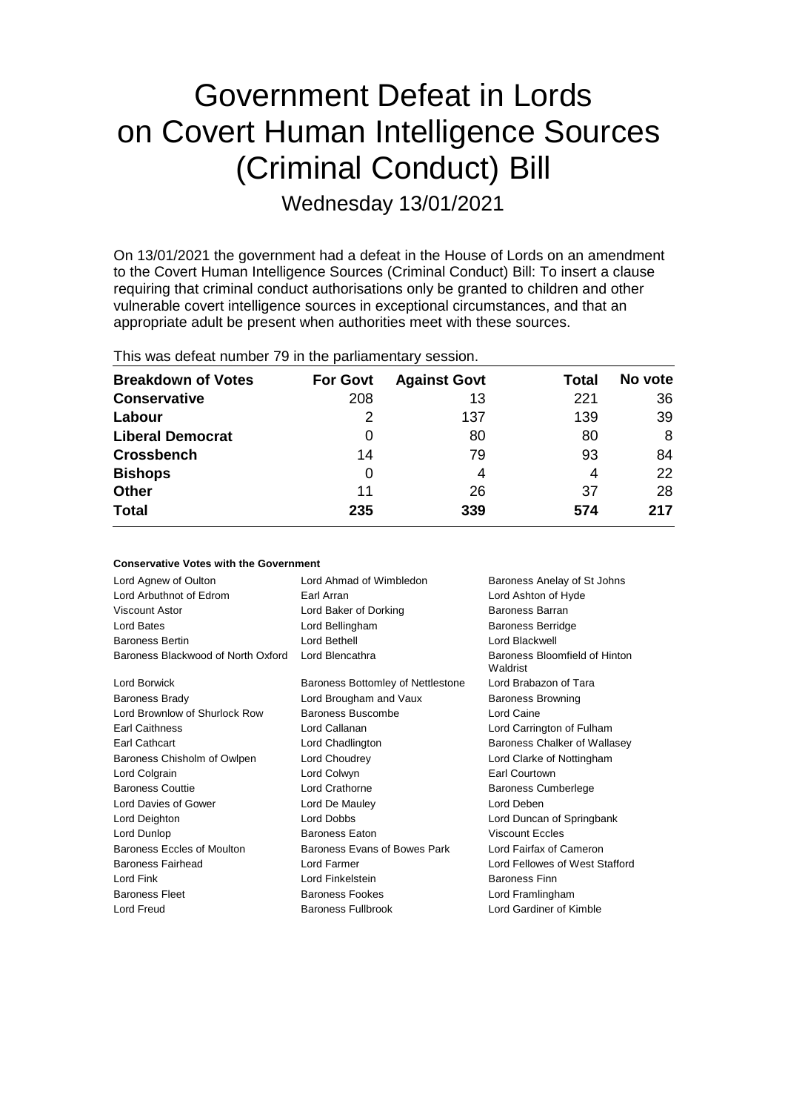# Government Defeat in Lords on Covert Human Intelligence Sources (Criminal Conduct) Bill

Wednesday 13/01/2021

On 13/01/2021 the government had a defeat in the House of Lords on an amendment to the Covert Human Intelligence Sources (Criminal Conduct) Bill: To insert a clause requiring that criminal conduct authorisations only be granted to children and other vulnerable covert intelligence sources in exceptional circumstances, and that an appropriate adult be present when authorities meet with these sources.

| THIS WAS ASSEMBLED FOR THE GIS PAINATION TALY SUBSIST. |                 |                     |              |         |  |
|--------------------------------------------------------|-----------------|---------------------|--------------|---------|--|
| <b>Breakdown of Votes</b>                              | <b>For Govt</b> | <b>Against Govt</b> | <b>Total</b> | No vote |  |
| <b>Conservative</b>                                    | 208             | 13                  | 221          | 36      |  |
| Labour                                                 | 2               | 137                 | 139          | 39      |  |
| <b>Liberal Democrat</b>                                | 0               | 80                  | 80           | 8       |  |
| <b>Crossbench</b>                                      | 14              | 79                  | 93           | 84      |  |
| <b>Bishops</b>                                         | 0               | 4                   | 4            | 22      |  |
| Other                                                  | 11              | 26                  | 37           | 28      |  |
| Total                                                  | 235             | 339                 | 574          | 217     |  |
|                                                        |                 |                     |              |         |  |

This was defeat number 79 in the parliamentary session.

| <b>Conservative Votes with the Government</b> |                                   |                                           |  |  |  |
|-----------------------------------------------|-----------------------------------|-------------------------------------------|--|--|--|
| Lord Agnew of Oulton                          | Lord Ahmad of Wimbledon           | Baroness Anelay of St Johns               |  |  |  |
| Lord Arbuthnot of Edrom                       | Earl Arran                        | Lord Ashton of Hyde                       |  |  |  |
| Viscount Astor                                | Lord Baker of Dorking             | Baroness Barran                           |  |  |  |
| Lord Bates                                    | Lord Bellingham                   | <b>Baroness Berridge</b>                  |  |  |  |
| <b>Baroness Bertin</b>                        | I ord Bethell                     | I ord Blackwell                           |  |  |  |
| Baroness Blackwood of North Oxford            | Lord Blencathra                   | Baroness Bloomfield of Hinton<br>Waldrist |  |  |  |
| <b>Lord Borwick</b>                           | Baroness Bottomley of Nettlestone | Lord Brabazon of Tara                     |  |  |  |
| Baroness Brady                                | Lord Brougham and Vaux            | <b>Baroness Browning</b>                  |  |  |  |
| Lord Brownlow of Shurlock Row                 | Baroness Buscombe                 | Lord Caine                                |  |  |  |
| <b>Earl Caithness</b>                         | Lord Callanan                     | Lord Carrington of Fulham                 |  |  |  |
| Earl Cathcart                                 | Lord Chadlington                  | Baroness Chalker of Wallasey              |  |  |  |
| Baroness Chisholm of Owlpen                   | Lord Choudrey                     | Lord Clarke of Nottingham                 |  |  |  |
| Lord Colgrain                                 | Lord Colwyn                       | <b>Earl Courtown</b>                      |  |  |  |
| <b>Baroness Couttie</b>                       | Lord Crathorne                    | <b>Baroness Cumberlege</b>                |  |  |  |
| Lord Davies of Gower                          | Lord De Mauley                    | Lord Deben                                |  |  |  |
| Lord Deighton                                 | Lord Dobbs                        | Lord Duncan of Springbank                 |  |  |  |
| Lord Dunlop                                   | <b>Baroness Eaton</b>             | <b>Viscount Eccles</b>                    |  |  |  |
| Baroness Eccles of Moulton                    | Baroness Evans of Bowes Park      | Lord Fairfax of Cameron                   |  |  |  |
| Baroness Fairhead                             | Lord Farmer                       | Lord Fellowes of West Stafford            |  |  |  |
| Lord Fink                                     | Lord Finkelstein                  | <b>Baroness Finn</b>                      |  |  |  |
| <b>Baroness Fleet</b>                         | <b>Baroness Fookes</b>            | Lord Framlingham                          |  |  |  |
| <b>Lord Freud</b>                             | Baroness Fullbrook                | Lord Gardiner of Kimble                   |  |  |  |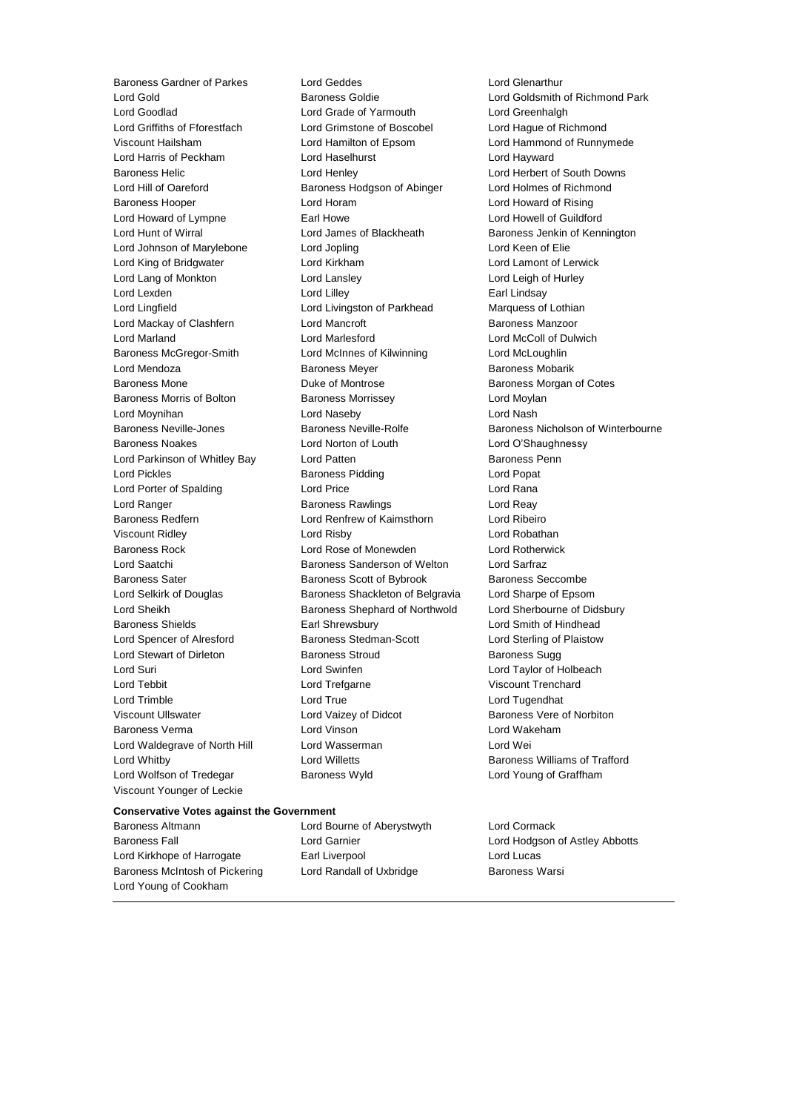Lord Wolfson of Tredegar **Baroness Wyld Baroness Wyld** Lord Young of Graffham Viscount Younger of Leckie

Baroness Gardner of Parkes Lord Geddes Lord General Lord General Lord General Lord General Lord Goldsmith Lord Goodlad Lord Grade of Yarmouth Lord Greenhalgh Lord Griffiths of Fforestfach Lord Grimstone of Boscobel Lord Hague of Richmond Viscount Hailsham Lord Hamilton of Epsom Lord Hammond of Runnymede Lord Harris of Peckham Lord Haselhurst Lord Hayward Baroness Helic Lord Henley Lord Herbert of South Downs Lord Hill of Oareford Baroness Hodgson of Abinger Lord Holmes of Richmond Baroness Hooper Lord Horam Lord Howard of Rising Lord Howard of Lympne **Earl Howe Earl Howell Communist Communist** Lord Howell of Guildford Lord Hunt of Wirral **Lord James of Blackheath** Baroness Jenkin of Kennington Lord Johnson of Marylebone Lord Jopling Lord Keen of Elie Lord King of Bridgwater Lord Kirkham Lord Lamont of Lerwick Lord Lang of Monkton Lord Lansley Lord Leigh of Hurley Lord Lexden **Lord Lindsay** Lord Lilley **Communication** Lord Lilley **Earl Lindsay** Lord Lingfield **Lord Livingston of Parkhead** Marquess of Lothian Lord Mackay of Clashfern **Lord Mancroft Baroness Manzoor** Baroness Manzoor Lord Marland Lord Marlesford Lord McColl of Dulwich Baroness McGregor-Smith Lord McInnes of Kilwinning Lord McLoughlin Lord Mendoza **Baroness Meyer** Baroness Meyer Baroness Mobarik Baroness Mone Duke of Montrose Baroness Morgan of Cotes Baroness Morris of Bolton Baroness Morrissey Carolic Lord Moylan Lord Moynihan Lord Naseby Lord Nash Baroness Noakes Lord Norton of Louth Lord O'Shaughnessy Lord Parkinson of Whitley Bay Lord Patten **Baroness Penn** Lord Pickles **Baroness Pidding** Lord Popat Lord Porter of Spalding Lord Price Lord Rana Lord Ranger **Baroness Rawlings** Lord Reay Baroness Redfern Lord Renfrew of Kaimsthorn Lord Ribeiro Viscount Ridley Lord Risby Lord Robathan Baroness Rock Lord Rose of Monewden Lord Rotherwick Lord Saatchi **Baroness Sanderson of Welton** Lord Sarfraz Baroness Sater **Baroness Scott of Bybrook** Baroness Seccombe Lord Selkirk of Douglas Baroness Shackleton of Belgravia Lord Sharpe of Epsom Lord Sheikh Baroness Shephard of Northwold Lord Sherbourne of Didsbury Baroness Shields **Earl Shrewsbury** Earl Shrewsbury **Lord Smith of Hindhead** Lord Spencer of Alresford Baroness Stedman-Scott Lord Sterling of Plaistow Lord Stewart of Dirleton **Baroness Stroud** Baroness Sugg Lord Suri Lord Swinfen Lord Taylor of Holbeach Lord Tebbit Lord Trefgarne Viscount Trenchard Lord Trimble Lord True Lord Tugendhat Viscount Ullswater Lord Vaizey of Didcot Baroness Vere of Norbiton Baroness Verma Lord Vinson Lord Wakeham Lord Waldegrave of North Hill Lord Wasserman Lord Wei Lord Whitby Lord Willetts Baroness Williams of Trafford

Lord Gold Baroness Goldie Lord Goldsmith of Richmond Park Baroness Neville-Jones **Baroness Neville-Rolfe** Baroness Nicholson of Winterbourne

## **Conservative Votes against the Government**

Baroness Altmann Lord Bourne of Aberystwyth Lord Cormack Baroness Fall Lord Garnier Lord Hodgson of Astley Abbotts Lord Kirkhope of Harrogate Earl Liverpool Lord Lucas Baroness McIntosh of Pickering Lord Randall of Uxbridge Baroness Warsi Lord Young of Cookham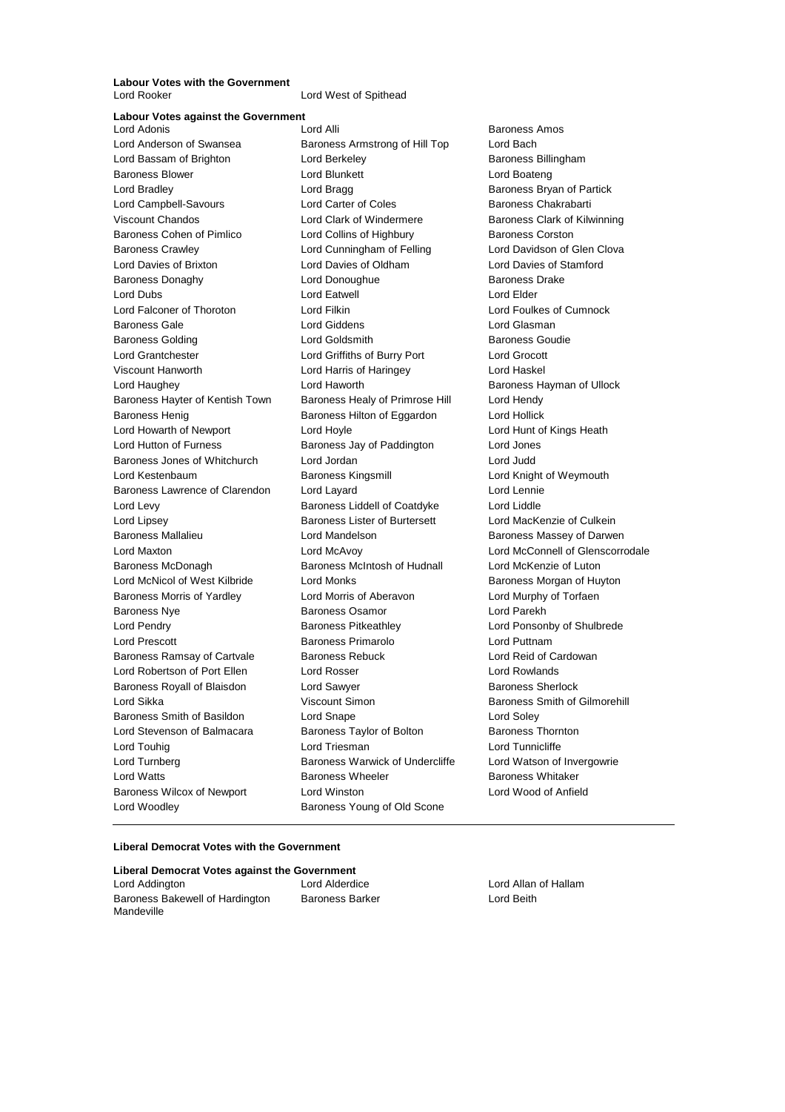**Labour Votes with the Government**<br>Lord Rooker

Lord West of Spithead

**Labour Votes against the Government** Lord Anderson of Swansea Baroness Armstrong of Hill Top Lord Bach Lord Bassam of Brighton **Lord Berkeley Communist Baroness Billingham** Baroness Blower Lord Blunkett Lord Boateng Lord Bradley **Lord Bragg Community** Lord Bragg Baroness Bryan of Partick Lord Campbell-Savours **Lord Carter of Coles** Baroness Chakrabarti Viscount Chandos **Lord Clark of Windermere** Baroness Clark of Kilwinning Baroness Cohen of Pimlico **Lord Collins of Highbury** Baroness Corston Baroness Crawley Lord Cunningham of Felling Lord Davidson of Glen Clova Lord Davies of Brixton Lord Davies of Oldham Lord Davies of Stamford Baroness Donaghy Lord Donoughue Baroness Drake Lord Dubs **Lord Eatwell** Lord Eatwell **Lord Elder** Lord Falconer of Thoroton Lord Filkin Lord Foulkes of Cumnock Baroness Gale Lord Giddens Lord Glasman Baroness Golding Lord Goldsmith Baroness Goudie Lord Grantchester Lord Griffiths of Burry Port Lord Grocott Viscount Hanworth Lord Harris of Haringey Lord Haskel Lord Haughey Lord Haworth Baroness Hayman of Ullock Baroness Hayter of Kentish Town Baroness Healy of Primrose Hill Lord Hendy Baroness Henig **Baroness Hilton of Eggardon** Lord Hollick Lord Howarth of Newport Lord Hoyle Lord Hunt of Kings Heath Lord Hutton of Furness Baroness Jay of Paddington Lord Jones Baroness Jones of Whitchurch Lord Jordan Lord Judd Lord Kestenbaum Baroness Kingsmill Lord Knight of Weymouth Baroness Lawrence of Clarendon Lord Layard Lord Lennie Lord Levy Baroness Liddell of Coatdyke Lord Liddle Lord Lipsey Baroness Lister of Burtersett Lord MacKenzie of Culkein Baroness Mallalieu Lord Mandelson Baroness Massey of Darwen Lord Maxton Lord McAvoy Lord McConnell of Glenscorrodale Baroness McDonagh Baroness McIntosh of Hudnall Lord McKenzie of Luton Lord McNicol of West Kilbride **Lord Monks Baroness Morgan of Huyton** Baroness Morris of Yardley Lord Morris of Aberavon Lord Murphy of Torfaen Baroness Nye Baroness Osamor Lord Parekh Lord Pendry **Baroness Pitkeathley Lord Ponsonby of Shulbrede** Lord Ponsonby of Shulbrede Lord Prescott **Baroness Primarolo** Lord Puttnam Baroness Ramsay of Cartvale Baroness Rebuck Lord Reid of Cardowan Lord Robertson of Port Ellen Lord Rosser Lord Rowlands Baroness Royall of Blaisdon **Lord Sawyer Baroness Sherlock Baroness** Sherlock Lord Sikka Viscount Simon Baroness Smith of Gilmorehill Baroness Smith of Basildon Lord Snape Lord Soley Lord Stevenson of Balmacara Baroness Taylor of Bolton Baroness Thornton Lord Touhig Lord Triesman Lord Tunnicliffe Lord Turnberg **Baroness Warwick of Undercliffe** Lord Watson of Invergowrie Lord Watts Baroness Wheeler Baroness Whitaker Baroness Wilcox of Newport Lord Winston Lord Wood of Anfield Lord Woodley **Baroness Young of Old Scone** 

Baroness Amos

## **Liberal Democrat Votes with the Government**

| Liberal Democrat Votes against the |
|------------------------------------|
| Lord Addington                     |
| Baroness Bakewell of Hardington    |
| Mandeville                         |

**Government** Lord Alderdice **Lord Allan of Hallam** Baroness Barker **Lord Beith**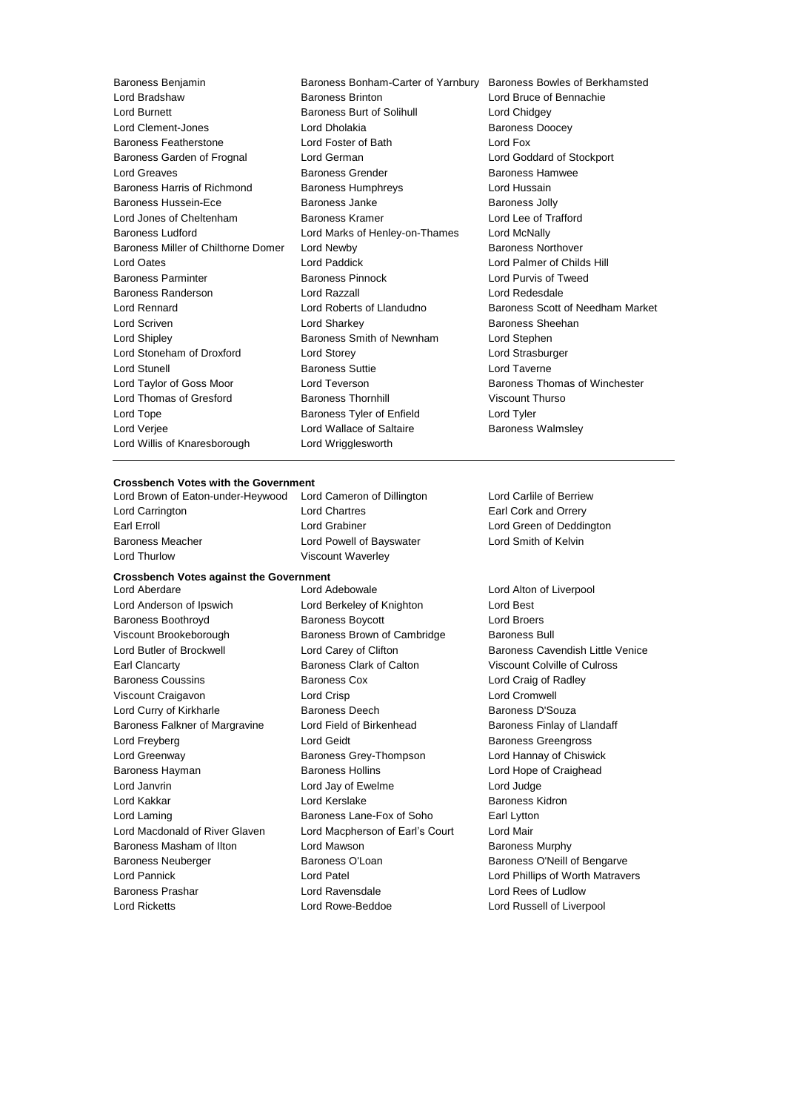Lord Burnett Baroness Burt of Solihull Lord Chidgey Lord Clement-Jones **Lord Dholakia Lord Dholakia** Baroness Doocey Baroness Featherstone Lord Foster of Bath Lord Fox Baroness Garden of Frognal Lord German Lord Goddard of Stockport Lord Greaves Baroness Grender Baroness Hamwee Baroness Harris of Richmond Baroness Humphreys Lord Hussain Baroness Hussein-Ece **Baroness Janke** Baroness Jolly Lord Jones of Cheltenham Baroness Kramer Lord Lee of Trafford Baroness Ludford Lord Marks of Henley-on-Thames Lord McNally Baroness Miller of Chilthorne Domer Lord Newby **Baroness Northover** Baroness Northover Lord Oates Lord Paddick Lord Palmer of Childs Hill Baroness Parminter Baroness Pinnock Lord Purvis of Tweed Baroness Randerson Lord Razzall Lord Redesdale Lord Rennard Lord Roberts of Llandudno Baroness Scott of Needham Market Lord Scriven Lord Sharkey Baroness Sheehan Lord Shipley **Baroness Smith of Newnham** Lord Stephen Lord Stoneham of Droxford Lord Storey Lord Strasburger Lord Stunell Baroness Suttie Lord Taverne Lord Taylor of Goss Moor **Lord Teverson Baroness Thomas of Winchester** Lord Thomas of Gresford **Baroness Thornhill** Viscount Thurso Lord Tope **Baroness Tyler of Enfield** Lord Tyler Lord Verjee **Lord Wallace of Saltaire** Baroness Walmsley Lord Willis of Knaresborough Lord Wrigglesworth

Baroness Benjamin Baroness Bonham-Carter of Yarnbury Baroness Bowles of Berkhamsted<br>Lord Bradshaw Baroness Brinton Lord Bruce of Bennachie Lord Bradshaw Baroness Brinton Lord Bruce of Bennachie

## **Crossbench Votes with the Government**

Lord Brown of Eaton-under-Heywood Lord Cameron of Dillington Lord Carlile of Berriew Lord Carrington Lord Chartres Earl Cork and Orrery Earl Erroll Lord Grabiner Lord Green of Deddington Baroness Meacher Lord Powell of Bayswater Lord Smith of Kelvin Lord Thurlow **Viscount Waverley** 

## **Crossbench Votes against the Government**

Lord Anderson of Ipswich Lord Berkeley of Knighton Lord Best Baroness Boothroyd Baroness Boycott Lord Broers Viscount Brookeborough Baroness Brown of Cambridge Baroness Bull Lord Butler of Brockwell **Lord Carey of Clifton** Baroness Cavendish Little Venice Earl Clancarty Baroness Clark of Calton Viscount Colville of Culross Baroness Coussins **Baroness Cox Constant Constant Lord Craig of Radley** Viscount Craigavon Lord Crisp Lord Cromwell Lord Curry of Kirkharle **Baroness Deech** Baroness Deech Baroness D'Souza Baroness Falkner of Margravine Lord Field of Birkenhead Baroness Finlay of Llandaff Lord Freyberg Lord Geidt Baroness Greengross Lord Greenway Baroness Grey-Thompson Lord Hannay of Chiswick Baroness Hayman Baroness Hollins Lord Hope of Craighead Lord Janvrin Lord Jay of Ewelme Lord Judge Lord Kakkar Lord Kerslake Baroness Kidron Lord Laming Baroness Lane-Fox of Soho Earl Lytton Lord Macdonald of River Glaven Lord Macpherson of Earl's Court Lord Mair Baroness Masham of Ilton **Lord Mawson Baroness Murphy** Baroness Neuberger **Baroness O'Loan** Baroness O'Loan Baroness O'Neill of Bengarve Lord Pannick Lord Patel Lord Phillips of Worth Matravers Baroness Prashar Lord Ravensdale Lord Rees of Ludlow Lord Ricketts Lord Rowe-Beddoe Lord Russell of Liverpool

Lord Aberdare Lord Adebowale Lord Alton of Liverpool